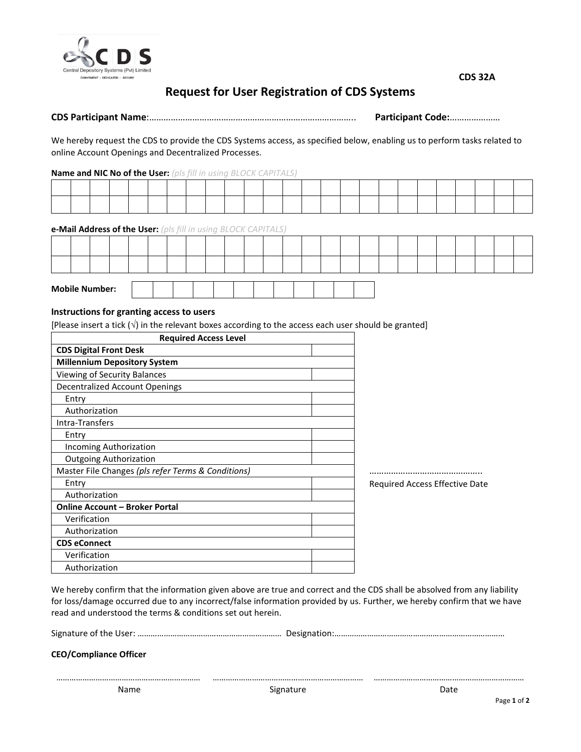

# **Request for User Registration of CDS Systems**

# **CDS Participant Name**:………………………………………………………………………….. **Participant Code:**…………………

We hereby request the CDS to provide the CDS Systems access, as specified below, enabling us to perform tasks related to online Account Openings and Decentralized Processes.

### **Name and NIC No of the User:** *(pls fill in using BLOCK CAPITALS)*

**e-Mail Address of the User:** *(pls fill in using BLOCK CAPITALS)*

|  | <b>Mobile Number:</b> |  |  |  |  |  |  |  |  |  |  |  |
|--|-----------------------|--|--|--|--|--|--|--|--|--|--|--|

# **Instructions for granting access to users**

[Please insert a tick  $(\sqrt{ } )$  in the relevant boxes according to the access each user should be granted]

| <b>Required Access Level</b>                       |                                |  |  |  |  |
|----------------------------------------------------|--------------------------------|--|--|--|--|
| <b>CDS Digital Front Desk</b>                      |                                |  |  |  |  |
| <b>Millennium Depository System</b>                |                                |  |  |  |  |
| Viewing of Security Balances                       |                                |  |  |  |  |
| <b>Decentralized Account Openings</b>              |                                |  |  |  |  |
| Entry                                              |                                |  |  |  |  |
| Authorization                                      |                                |  |  |  |  |
| Intra-Transfers                                    |                                |  |  |  |  |
| Entry                                              |                                |  |  |  |  |
| Incoming Authorization                             |                                |  |  |  |  |
| <b>Outgoing Authorization</b>                      |                                |  |  |  |  |
| Master File Changes (pls refer Terms & Conditions) |                                |  |  |  |  |
| Entry                                              | Required Access Effective Date |  |  |  |  |
| Authorization                                      |                                |  |  |  |  |
| <b>Online Account - Broker Portal</b>              |                                |  |  |  |  |
| Verification                                       |                                |  |  |  |  |
| Authorization                                      |                                |  |  |  |  |
| <b>CDS eConnect</b>                                |                                |  |  |  |  |
| Verification                                       |                                |  |  |  |  |
| Authorization                                      |                                |  |  |  |  |

We hereby confirm that the information given above are true and correct and the CDS shall be absolved from any liability for loss/damage occurred due to any incorrect/false information provided by us. Further, we hereby confirm that we have read and understood the terms & conditions set out herein.

|--|--|--|

**CEO/Compliance Officer**